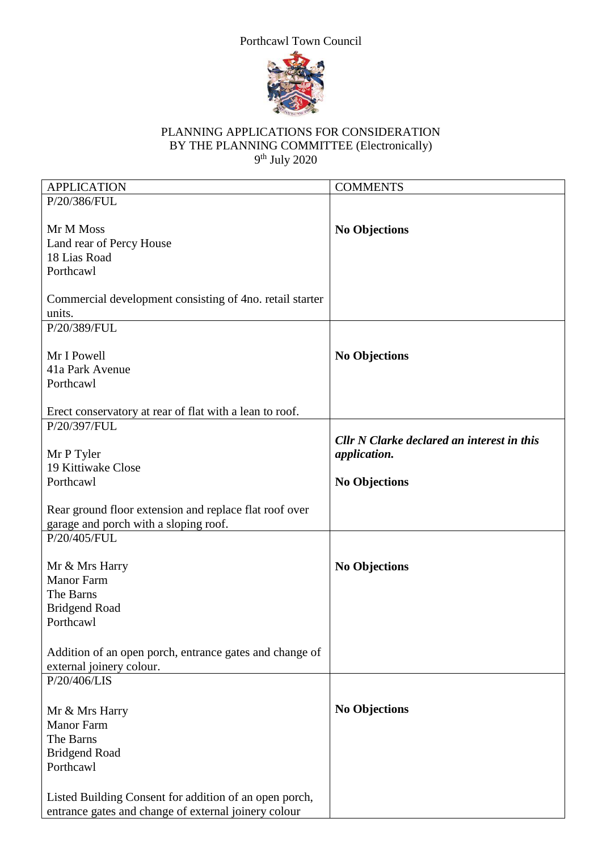## Porthcawl Town Council



## PLANNING APPLICATIONS FOR CONSIDERATION BY THE PLANNING COMMITTEE (Electronically) 9 th July 2020

| <b>APPLICATION</b>                                       | <b>COMMENTS</b>                                   |
|----------------------------------------------------------|---------------------------------------------------|
| P/20/386/FUL                                             |                                                   |
|                                                          |                                                   |
| Mr M Moss                                                | <b>No Objections</b>                              |
| Land rear of Percy House                                 |                                                   |
| 18 Lias Road                                             |                                                   |
| Porthcawl                                                |                                                   |
|                                                          |                                                   |
| Commercial development consisting of 4no. retail starter |                                                   |
| units.                                                   |                                                   |
| P/20/389/FUL                                             |                                                   |
|                                                          |                                                   |
| Mr I Powell                                              | <b>No Objections</b>                              |
| 41a Park Avenue                                          |                                                   |
| Porthcawl                                                |                                                   |
| Erect conservatory at rear of flat with a lean to roof.  |                                                   |
| P/20/397/FUL                                             |                                                   |
|                                                          | <b>Cllr N Clarke declared an interest in this</b> |
| Mr P Tyler                                               | application.                                      |
| 19 Kittiwake Close                                       |                                                   |
| Porthcawl                                                | <b>No Objections</b>                              |
|                                                          |                                                   |
| Rear ground floor extension and replace flat roof over   |                                                   |
| garage and porch with a sloping roof.                    |                                                   |
| P/20/405/FUL                                             |                                                   |
|                                                          |                                                   |
| Mr & Mrs Harry                                           | <b>No Objections</b>                              |
| <b>Manor Farm</b>                                        |                                                   |
| The Barns                                                |                                                   |
| <b>Bridgend Road</b>                                     |                                                   |
| Porthcawl                                                |                                                   |
|                                                          |                                                   |
| Addition of an open porch, entrance gates and change of  |                                                   |
| external joinery colour.                                 |                                                   |
| P/20/406/LIS                                             |                                                   |
|                                                          |                                                   |
| Mr & Mrs Harry                                           | <b>No Objections</b>                              |
| <b>Manor Farm</b>                                        |                                                   |
| The Barns                                                |                                                   |
| <b>Bridgend Road</b>                                     |                                                   |
| Porthcawl                                                |                                                   |
|                                                          |                                                   |
| Listed Building Consent for addition of an open porch,   |                                                   |
| entrance gates and change of external joinery colour     |                                                   |